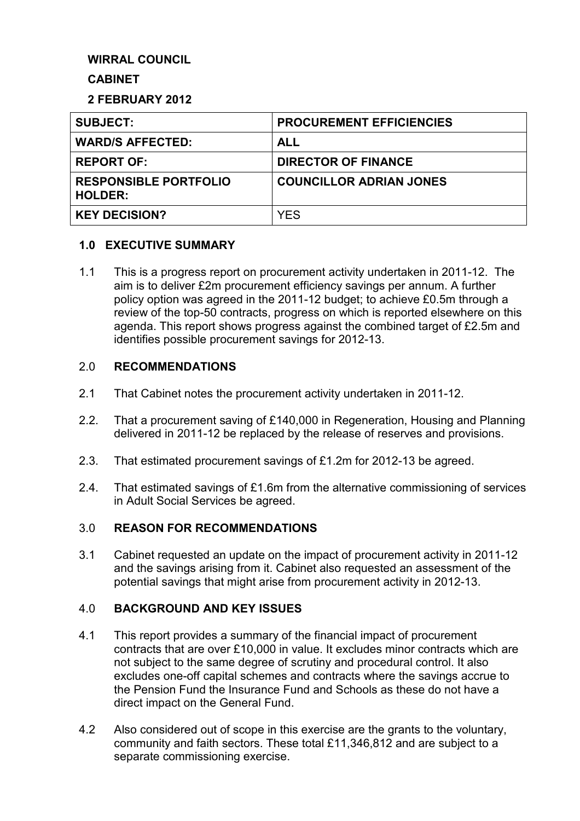# **WIRRAL COUNCIL**

## **CABINET**

### **2 FEBRUARY 2012**

| <b>SUBJECT:</b>                                | <b>PROCUREMENT EFFICIENCIES</b> |
|------------------------------------------------|---------------------------------|
| <b>WARD/S AFFECTED:</b>                        | <b>ALL</b>                      |
| <b>REPORT OF:</b>                              | <b>DIRECTOR OF FINANCE</b>      |
| <b>RESPONSIBLE PORTFOLIO</b><br><b>HOLDER:</b> | <b>COUNCILLOR ADRIAN JONES</b>  |
| <b>KEY DECISION?</b>                           | <b>YES</b>                      |

### **1.0 EXECUTIVE SUMMARY**

1.1 This is a progress report on procurement activity undertaken in 2011-12. The aim is to deliver £2m procurement efficiency savings per annum. A further policy option was agreed in the 2011-12 budget; to achieve £0.5m through a review of the top-50 contracts, progress on which is reported elsewhere on this agenda. This report shows progress against the combined target of £2.5m and identifies possible procurement savings for 2012-13.

### 2.0 **RECOMMENDATIONS**

- 2.1 That Cabinet notes the procurement activity undertaken in 2011-12.
- 2.2. That a procurement saving of £140,000 in Regeneration, Housing and Planning delivered in 2011-12 be replaced by the release of reserves and provisions.
- 2.3. That estimated procurement savings of £1.2m for 2012-13 be agreed.
- 2.4. That estimated savings of £1.6m from the alternative commissioning of services in Adult Social Services be agreed.

## 3.0 **REASON FOR RECOMMENDATIONS**

3.1 Cabinet requested an update on the impact of procurement activity in 2011-12 and the savings arising from it. Cabinet also requested an assessment of the potential savings that might arise from procurement activity in 2012-13.

### 4.0 **BACKGROUND AND KEY ISSUES**

- 4.1 This report provides a summary of the financial impact of procurement contracts that are over £10,000 in value. It excludes minor contracts which are not subject to the same degree of scrutiny and procedural control. It also excludes one-off capital schemes and contracts where the savings accrue to the Pension Fund the Insurance Fund and Schools as these do not have a direct impact on the General Fund.
- 4.2 Also considered out of scope in this exercise are the grants to the voluntary, community and faith sectors. These total £11,346,812 and are subject to a separate commissioning exercise.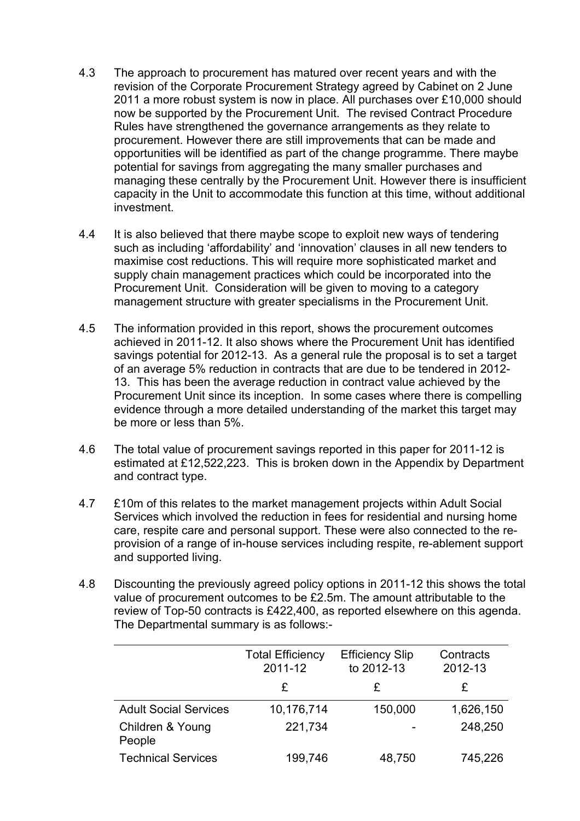- 4.3 The approach to procurement has matured over recent years and with the revision of the Corporate Procurement Strategy agreed by Cabinet on 2 June 2011 a more robust system is now in place. All purchases over £10,000 should now be supported by the Procurement Unit. The revised Contract Procedure Rules have strengthened the governance arrangements as they relate to procurement. However there are still improvements that can be made and opportunities will be identified as part of the change programme. There maybe potential for savings from aggregating the many smaller purchases and managing these centrally by the Procurement Unit. However there is insufficient capacity in the Unit to accommodate this function at this time, without additional investment.
- 4.4 It is also believed that there maybe scope to exploit new ways of tendering such as including 'affordability' and 'innovation' clauses in all new tenders to maximise cost reductions. This will require more sophisticated market and supply chain management practices which could be incorporated into the Procurement Unit. Consideration will be given to moving to a category management structure with greater specialisms in the Procurement Unit.
- 4.5 The information provided in this report, shows the procurement outcomes achieved in 2011-12. It also shows where the Procurement Unit has identified savings potential for 2012-13. As a general rule the proposal is to set a target of an average 5% reduction in contracts that are due to be tendered in 2012- 13. This has been the average reduction in contract value achieved by the Procurement Unit since its inception. In some cases where there is compelling evidence through a more detailed understanding of the market this target may be more or less than 5%.
- 4.6 The total value of procurement savings reported in this paper for 2011-12 is estimated at £12,522,223. This is broken down in the Appendix by Department and contract type.
- 4.7 £10m of this relates to the market management projects within Adult Social Services which involved the reduction in fees for residential and nursing home care, respite care and personal support. These were also connected to the reprovision of a range of in-house services including respite, re-ablement support and supported living.
- 4.8 Discounting the previously agreed policy options in 2011-12 this shows the total value of procurement outcomes to be £2.5m. The amount attributable to the review of Top-50 contracts is £422,400, as reported elsewhere on this agenda. The Departmental summary is as follows:-

|                              | <b>Total Efficiency</b><br>2011-12 | <b>Efficiency Slip</b><br>to 2012-13 | Contracts<br>2012-13 |
|------------------------------|------------------------------------|--------------------------------------|----------------------|
|                              | £                                  | £                                    | £                    |
| <b>Adult Social Services</b> | 10,176,714                         | 150,000                              | 1,626,150            |
| Children & Young<br>People   | 221,734                            |                                      | 248,250              |
| <b>Technical Services</b>    | 199,746                            | 48,750                               | 745,226              |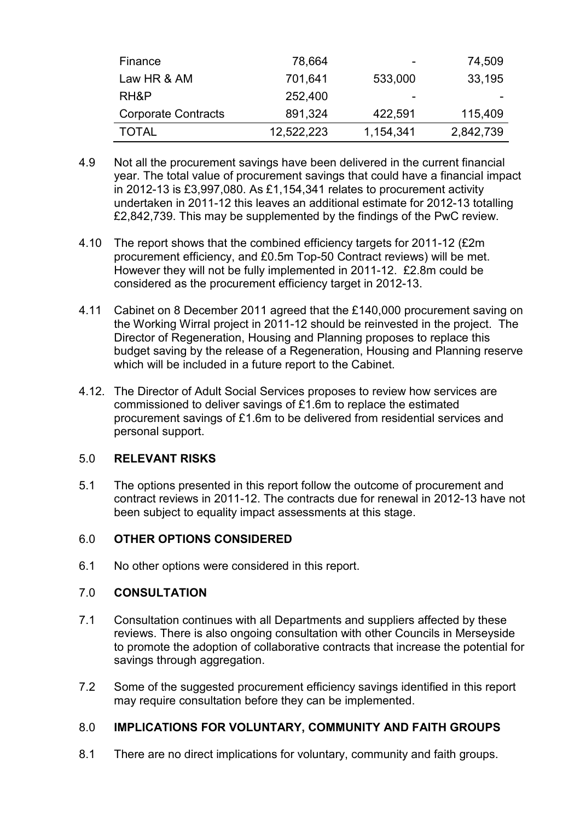| Finance                    | 78,664     | -         | 74,509    |
|----------------------------|------------|-----------|-----------|
| Law HR & AM                | 701,641    | 533,000   | 33,195    |
| RH&P                       | 252,400    | -         |           |
| <b>Corporate Contracts</b> | 891,324    | 422,591   | 115,409   |
| TOTAL                      | 12,522,223 | 1,154,341 | 2,842,739 |

- 4.9 Not all the procurement savings have been delivered in the current financial year. The total value of procurement savings that could have a financial impact in 2012-13 is £3,997,080. As £1,154,341 relates to procurement activity undertaken in 2011-12 this leaves an additional estimate for 2012-13 totalling £2,842,739. This may be supplemented by the findings of the PwC review.
- 4.10 The report shows that the combined efficiency targets for 2011-12 (£2m procurement efficiency, and £0.5m Top-50 Contract reviews) will be met. However they will not be fully implemented in 2011-12. £2.8m could be considered as the procurement efficiency target in 2012-13.
- 4.11 Cabinet on 8 December 2011 agreed that the £140,000 procurement saving on the Working Wirral project in 2011-12 should be reinvested in the project. The Director of Regeneration, Housing and Planning proposes to replace this budget saving by the release of a Regeneration, Housing and Planning reserve which will be included in a future report to the Cabinet.
- 4.12. The Director of Adult Social Services proposes to review how services are commissioned to deliver savings of £1.6m to replace the estimated procurement savings of £1.6m to be delivered from residential services and personal support.

### 5.0 **RELEVANT RISKS**

5.1 The options presented in this report follow the outcome of procurement and contract reviews in 2011-12. The contracts due for renewal in 2012-13 have not been subject to equality impact assessments at this stage.

# 6.0 **OTHER OPTIONS CONSIDERED**

6.1 No other options were considered in this report.

## 7.0 **CONSULTATION**

- 7.1 Consultation continues with all Departments and suppliers affected by these reviews. There is also ongoing consultation with other Councils in Merseyside to promote the adoption of collaborative contracts that increase the potential for savings through aggregation.
- 7.2 Some of the suggested procurement efficiency savings identified in this report may require consultation before they can be implemented.

# 8.0 **IMPLICATIONS FOR VOLUNTARY, COMMUNITY AND FAITH GROUPS**

8.1 There are no direct implications for voluntary, community and faith groups.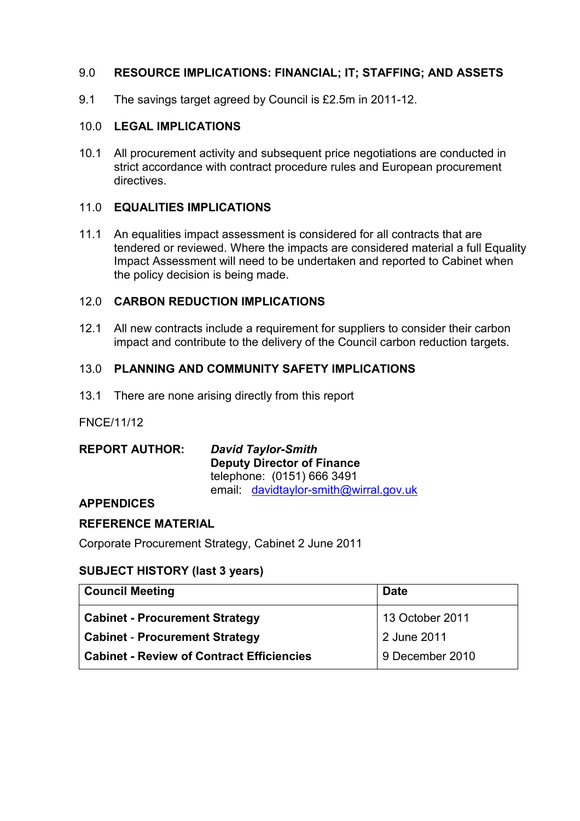# 9.0 **RESOURCE IMPLICATIONS: FINANCIAL; IT; STAFFING; AND ASSETS**

9.1 The savings target agreed by Council is £2.5m in 2011-12.

## 10.0 **LEGAL IMPLICATIONS**

10.1 All procurement activity and subsequent price negotiations are conducted in strict accordance with contract procedure rules and European procurement directives.

## 11.0 **EQUALITIES IMPLICATIONS**

11.1 An equalities impact assessment is considered for all contracts that are tendered or reviewed. Where the impacts are considered material a full Equality Impact Assessment will need to be undertaken and reported to Cabinet when the policy decision is being made.

## 12.0 **CARBON REDUCTION IMPLICATIONS**

12.1 All new contracts include a requirement for suppliers to consider their carbon impact and contribute to the delivery of the Council carbon reduction targets.

# 13.0 **PLANNING AND COMMUNITY SAFETY IMPLICATIONS**

13.1 There are none arising directly from this report

### FNCE/11/12

| <b>REPORT AUTHOR:</b> | <b>David Taylor-Smith</b><br><b>Deputy Director of Finance</b> |
|-----------------------|----------------------------------------------------------------|
|                       | telephone: (0151) 666 3491                                     |
|                       | email davidtaylor-smith@wirral.gov.uk                          |

### **APPENDICES**

### **REFERENCE MATERIAL**

Corporate Procurement Strategy, Cabinet 2 June 2011

# **SUBJECT HISTORY (last 3 years)**

| <b>Council Meeting</b>                           | <b>Date</b>       |
|--------------------------------------------------|-------------------|
| <b>Cabinet - Procurement Strategy</b>            | $13$ October 2011 |
| <b>Cabinet - Procurement Strategy</b>            | 2 June 2011       |
| <b>Cabinet - Review of Contract Efficiencies</b> | 9 December 2010   |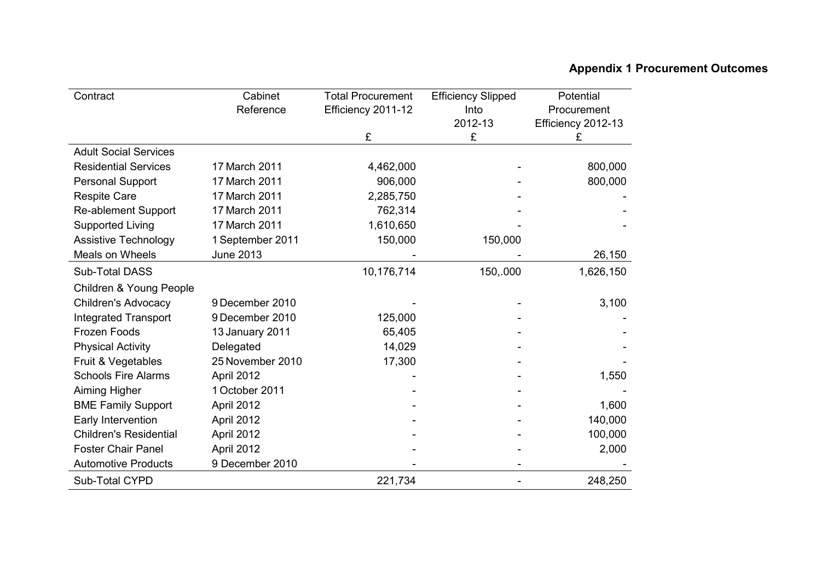# **Appendix 1 Procurement Outcomes**

| Contract                      | Cabinet          | <b>Total Procurement</b> | <b>Efficiency Slipped</b> | Potential          |
|-------------------------------|------------------|--------------------------|---------------------------|--------------------|
|                               | Reference        | Efficiency 2011-12       | Into                      | Procurement        |
|                               |                  |                          | 2012-13                   | Efficiency 2012-13 |
|                               |                  | £                        | £                         | £                  |
| <b>Adult Social Services</b>  |                  |                          |                           |                    |
| <b>Residential Services</b>   | 17 March 2011    | 4,462,000                |                           | 800,000            |
| <b>Personal Support</b>       | 17 March 2011    | 906,000                  |                           | 800,000            |
| <b>Respite Care</b>           | 17 March 2011    | 2,285,750                |                           |                    |
| <b>Re-ablement Support</b>    | 17 March 2011    | 762,314                  |                           |                    |
| <b>Supported Living</b>       | 17 March 2011    | 1,610,650                |                           |                    |
| <b>Assistive Technology</b>   | 1 September 2011 | 150,000                  | 150,000                   |                    |
| Meals on Wheels               | June 2013        |                          |                           | 26,150             |
| Sub-Total DASS                |                  | 10,176,714               | 150,.000                  | 1,626,150          |
| Children & Young People       |                  |                          |                           |                    |
| <b>Children's Advocacy</b>    | 9 December 2010  |                          |                           | 3,100              |
| <b>Integrated Transport</b>   | 9 December 2010  | 125,000                  |                           |                    |
| Frozen Foods                  | 13 January 2011  | 65,405                   |                           |                    |
| <b>Physical Activity</b>      | Delegated        | 14,029                   |                           |                    |
| Fruit & Vegetables            | 25 November 2010 | 17,300                   |                           |                    |
| <b>Schools Fire Alarms</b>    | April 2012       |                          |                           | 1,550              |
| Aiming Higher                 | 1 October 2011   |                          |                           |                    |
| <b>BME Family Support</b>     | April 2012       |                          |                           | 1,600              |
| Early Intervention            | April 2012       |                          |                           | 140,000            |
| <b>Children's Residential</b> | April 2012       |                          |                           | 100,000            |
| <b>Foster Chair Panel</b>     | April 2012       |                          |                           | 2,000              |
| <b>Automotive Products</b>    | 9 December 2010  |                          |                           |                    |
| Sub-Total CYPD                |                  | 221,734                  |                           | 248,250            |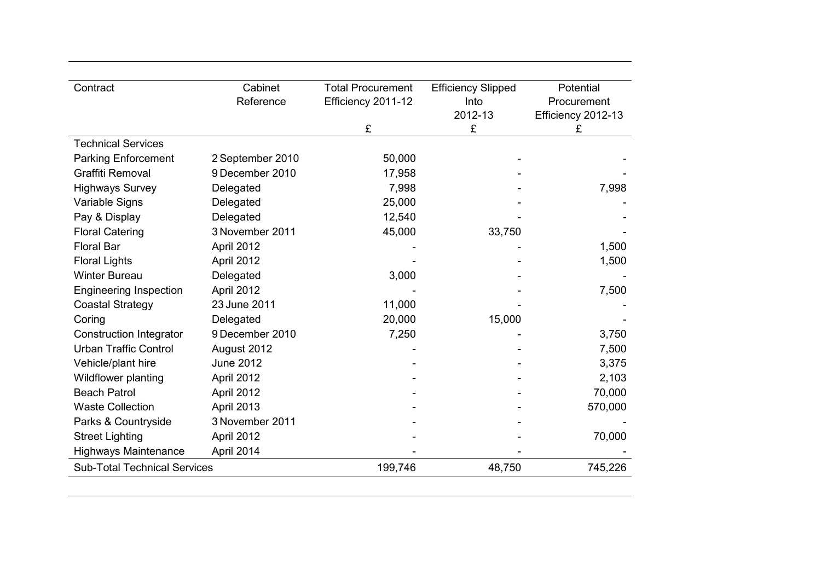| Contract                            | Cabinet          | <b>Total Procurement</b> | <b>Efficiency Slipped</b> | Potential          |
|-------------------------------------|------------------|--------------------------|---------------------------|--------------------|
|                                     | Reference        | Efficiency 2011-12       | Into                      | Procurement        |
|                                     |                  |                          | 2012-13                   | Efficiency 2012-13 |
|                                     |                  | £                        | £                         | £                  |
| <b>Technical Services</b>           |                  |                          |                           |                    |
| <b>Parking Enforcement</b>          | 2 September 2010 | 50,000                   |                           |                    |
| <b>Graffiti Removal</b>             | 9 December 2010  | 17,958                   |                           |                    |
| <b>Highways Survey</b>              | Delegated        | 7,998                    |                           | 7,998              |
| Variable Signs                      | Delegated        | 25,000                   |                           |                    |
| Pay & Display                       | Delegated        | 12,540                   |                           |                    |
| <b>Floral Catering</b>              | 3 November 2011  | 45,000                   | 33,750                    |                    |
| <b>Floral Bar</b>                   | April 2012       |                          |                           | 1,500              |
| <b>Floral Lights</b>                | April 2012       |                          |                           | 1,500              |
| <b>Winter Bureau</b>                | Delegated        | 3,000                    |                           |                    |
| <b>Engineering Inspection</b>       | April 2012       |                          |                           | 7,500              |
| <b>Coastal Strategy</b>             | 23 June 2011     | 11,000                   |                           |                    |
| Coring                              | Delegated        | 20,000                   | 15,000                    |                    |
| <b>Construction Integrator</b>      | 9 December 2010  | 7,250                    |                           | 3,750              |
| <b>Urban Traffic Control</b>        | August 2012      |                          |                           | 7,500              |
| Vehicle/plant hire                  | <b>June 2012</b> |                          |                           | 3,375              |
| <b>Wildflower planting</b>          | April 2012       |                          |                           | 2,103              |
| <b>Beach Patrol</b>                 | April 2012       |                          |                           | 70,000             |
| <b>Waste Collection</b>             | April 2013       |                          |                           | 570,000            |
| Parks & Countryside                 | 3 November 2011  |                          |                           |                    |
| <b>Street Lighting</b>              | April 2012       |                          |                           | 70,000             |
| <b>Highways Maintenance</b>         | April 2014       |                          |                           |                    |
| <b>Sub-Total Technical Services</b> |                  | 199,746                  | 48,750                    | 745,226            |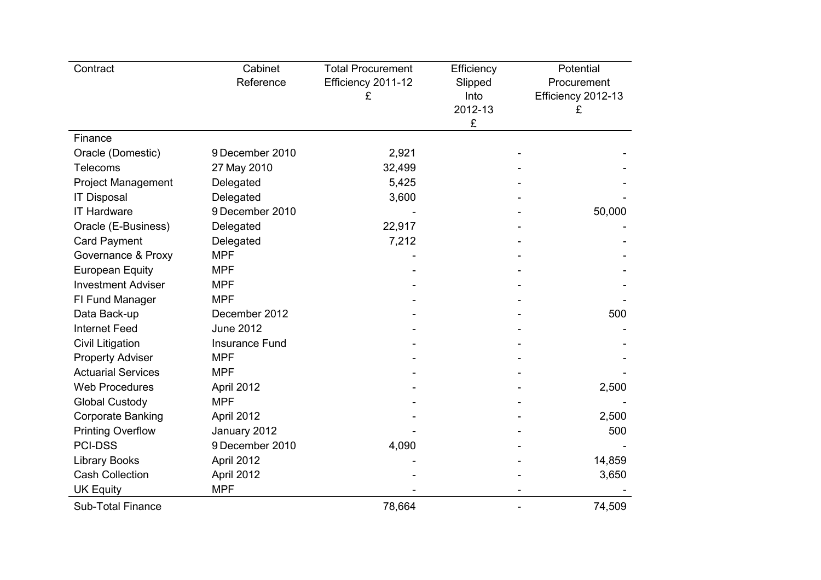| Contract                  | Cabinet<br>Reference  | <b>Total Procurement</b><br>Efficiency 2011-12<br>£ | Efficiency<br>Slipped<br>Into<br>2012-13<br>£ | Potential<br>Procurement<br>Efficiency 2012-13<br>£ |
|---------------------------|-----------------------|-----------------------------------------------------|-----------------------------------------------|-----------------------------------------------------|
| Finance                   |                       |                                                     |                                               |                                                     |
| Oracle (Domestic)         | 9 December 2010       | 2,921                                               |                                               |                                                     |
| <b>Telecoms</b>           | 27 May 2010           | 32,499                                              |                                               |                                                     |
| <b>Project Management</b> | Delegated             | 5,425                                               |                                               |                                                     |
| <b>IT Disposal</b>        | Delegated             | 3,600                                               |                                               |                                                     |
| <b>IT Hardware</b>        | 9 December 2010       |                                                     |                                               | 50,000                                              |
| Oracle (E-Business)       | Delegated             | 22,917                                              |                                               |                                                     |
| <b>Card Payment</b>       | Delegated             | 7,212                                               |                                               |                                                     |
| Governance & Proxy        | <b>MPF</b>            |                                                     |                                               |                                                     |
| <b>European Equity</b>    | <b>MPF</b>            |                                                     |                                               |                                                     |
| <b>Investment Adviser</b> | <b>MPF</b>            |                                                     |                                               |                                                     |
| FI Fund Manager           | <b>MPF</b>            |                                                     |                                               |                                                     |
| Data Back-up              | December 2012         |                                                     |                                               | 500                                                 |
| <b>Internet Feed</b>      | <b>June 2012</b>      |                                                     |                                               |                                                     |
| <b>Civil Litigation</b>   | <b>Insurance Fund</b> |                                                     |                                               |                                                     |
| <b>Property Adviser</b>   | <b>MPF</b>            |                                                     |                                               |                                                     |
| <b>Actuarial Services</b> | <b>MPF</b>            |                                                     |                                               |                                                     |
| <b>Web Procedures</b>     | April 2012            |                                                     |                                               | 2,500                                               |
| <b>Global Custody</b>     | <b>MPF</b>            |                                                     |                                               |                                                     |
| <b>Corporate Banking</b>  | April 2012            |                                                     |                                               | 2,500                                               |
| <b>Printing Overflow</b>  | January 2012          |                                                     |                                               | 500                                                 |
| <b>PCI-DSS</b>            | 9 December 2010       | 4,090                                               |                                               |                                                     |
| <b>Library Books</b>      | April 2012            |                                                     |                                               | 14,859                                              |
| <b>Cash Collection</b>    | April 2012            |                                                     |                                               | 3,650                                               |
| <b>UK Equity</b>          | <b>MPF</b>            |                                                     |                                               |                                                     |
| <b>Sub-Total Finance</b>  |                       | 78,664                                              |                                               | 74,509                                              |
|                           |                       |                                                     |                                               |                                                     |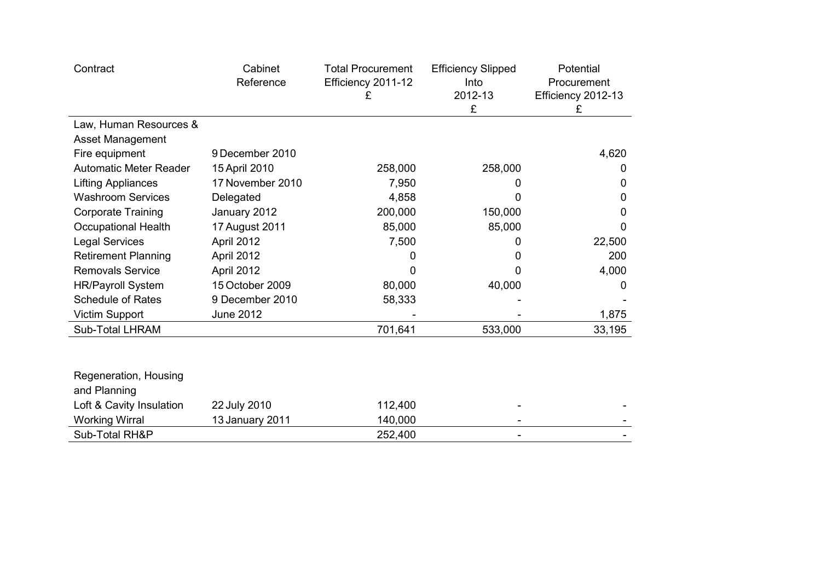| Contract                              | Cabinet<br>Reference | <b>Total Procurement</b><br>Efficiency 2011-12<br>£ | <b>Efficiency Slipped</b><br>Into<br>2012-13<br>£ | Potential<br>Procurement<br>Efficiency 2012-13<br>£ |
|---------------------------------------|----------------------|-----------------------------------------------------|---------------------------------------------------|-----------------------------------------------------|
| Law, Human Resources &                |                      |                                                     |                                                   |                                                     |
| Asset Management                      |                      |                                                     |                                                   |                                                     |
| Fire equipment                        | 9 December 2010      |                                                     |                                                   | 4,620                                               |
| <b>Automatic Meter Reader</b>         | 15 April 2010        | 258,000                                             | 258,000                                           | $\Omega$                                            |
| <b>Lifting Appliances</b>             | 17 November 2010     | 7,950                                               | 0                                                 | 0                                                   |
| <b>Washroom Services</b>              | Delegated            | 4,858                                               | O                                                 | 0                                                   |
| <b>Corporate Training</b>             | January 2012         | 200,000                                             | 150,000                                           | 0                                                   |
| <b>Occupational Health</b>            | 17 August 2011       | 85,000                                              | 85,000                                            | 0                                                   |
| <b>Legal Services</b>                 | April 2012           | 7,500                                               | 0                                                 | 22,500                                              |
| <b>Retirement Planning</b>            | April 2012           | O                                                   | O                                                 | 200                                                 |
| <b>Removals Service</b>               | April 2012           | 0                                                   | O                                                 | 4,000                                               |
| <b>HR/Payroll System</b>              | 15 October 2009      | 80,000                                              | 40,000                                            | 0                                                   |
| <b>Schedule of Rates</b>              | 9 December 2010      | 58,333                                              |                                                   |                                                     |
| Victim Support                        | <b>June 2012</b>     |                                                     |                                                   | 1,875                                               |
| <b>Sub-Total LHRAM</b>                |                      | 701,641                                             | 533,000                                           | 33,195                                              |
| Regeneration, Housing<br>and Planning |                      |                                                     |                                                   |                                                     |
| Loft & Cavity Insulation              | 22 July 2010         | 112,400                                             |                                                   |                                                     |
| <b>Working Wirral</b>                 | 13 January 2011      | 140,000                                             |                                                   |                                                     |
| Sub-Total RH&P                        |                      | 252.400                                             |                                                   |                                                     |

 $\sim$  -  $\sim$  -  $\sim$  -  $\sim$  -  $\sim$  -  $\sim$  -  $\sim$  -  $\sim$  -  $\sim$  -  $\sim$  -  $\sim$  -  $\sim$  -  $\sim$  -  $\sim$  -  $\sim$  -  $\sim$  -  $\sim$  -  $\sim$  -  $\sim$  -  $\sim$  -  $\sim$  -  $\sim$  -  $\sim$  -  $\sim$  -  $\sim$  -  $\sim$  -  $\sim$  -  $\sim$  -  $\sim$  -  $\sim$  -  $\sim$  -  $\sim$